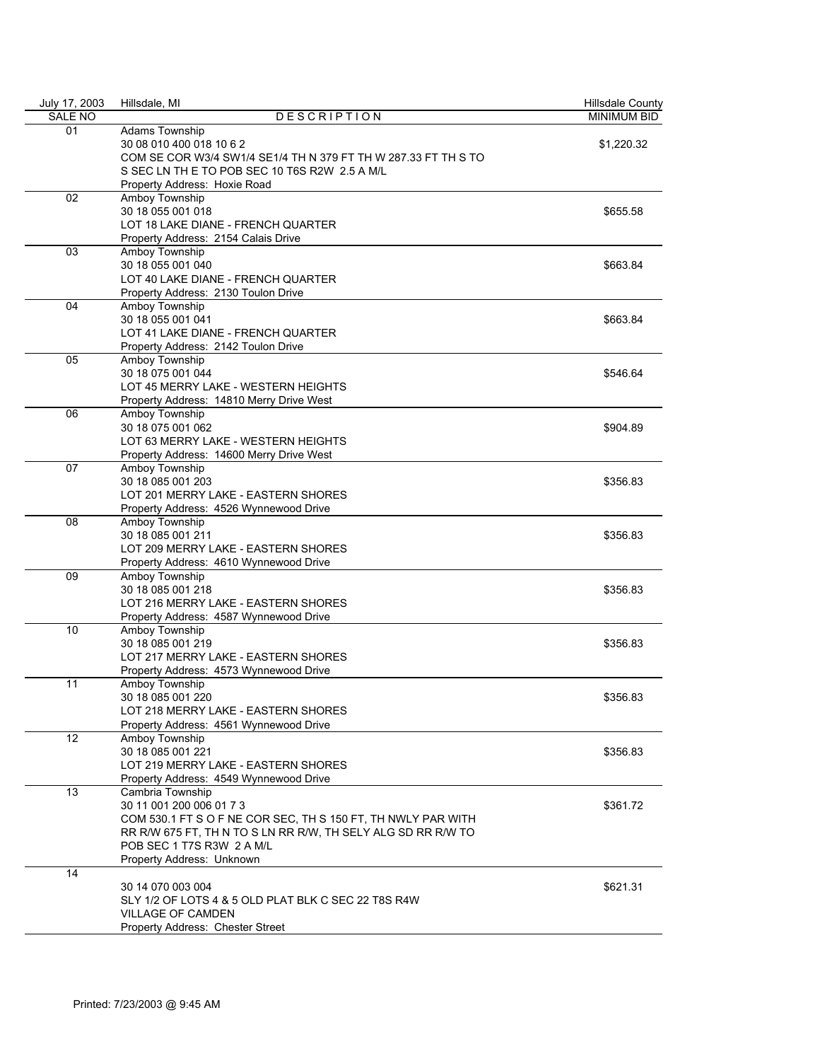| July 17, 2003 | Hillsdale, MI                                                  | Hillsdale County   |
|---------------|----------------------------------------------------------------|--------------------|
| SALE NO       | <b>DESCRIPTION</b>                                             | <b>MINIMUM BID</b> |
| 01            | Adams Township                                                 |                    |
|               | 30 08 010 400 018 10 6 2                                       | \$1,220.32         |
|               | COM SE COR W3/4 SW1/4 SE1/4 TH N 379 FT TH W 287.33 FT TH S TO |                    |
|               | S SEC LN TH E TO POB SEC 10 T6S R2W 2.5 A M/L                  |                    |
|               | Property Address: Hoxie Road                                   |                    |
| 02            | Amboy Township                                                 |                    |
|               | 30 18 055 001 018                                              | \$655.58           |
|               | LOT 18 LAKE DIANE - FRENCH QUARTER                             |                    |
|               | Property Address: 2154 Calais Drive                            |                    |
| 03            | Amboy Township                                                 |                    |
|               | 30 18 055 001 040                                              | \$663.84           |
|               | LOT 40 LAKE DIANE - FRENCH QUARTER                             |                    |
|               | Property Address: 2130 Toulon Drive                            |                    |
| 04            | Amboy Township                                                 |                    |
|               | 30 18 055 001 041                                              | \$663.84           |
|               | LOT 41 LAKE DIANE - FRENCH QUARTER                             |                    |
|               | Property Address: 2142 Toulon Drive                            |                    |
| 05            | Amboy Township                                                 |                    |
|               | 30 18 075 001 044                                              | \$546.64           |
|               | LOT 45 MERRY LAKE - WESTERN HEIGHTS                            |                    |
|               | Property Address: 14810 Merry Drive West                       |                    |
| 06            | Amboy Township                                                 |                    |
|               | 30 18 075 001 062                                              | \$904.89           |
|               | LOT 63 MERRY LAKE - WESTERN HEIGHTS                            |                    |
|               | Property Address: 14600 Merry Drive West                       |                    |
| 07            | Amboy Township                                                 |                    |
|               | 30 18 085 001 203                                              | \$356.83           |
|               | LOT 201 MERRY LAKE - EASTERN SHORES                            |                    |
|               |                                                                |                    |
|               | Property Address: 4526 Wynnewood Drive<br>Amboy Township       |                    |
| 08            | 30 18 085 001 211                                              |                    |
|               |                                                                | \$356.83           |
|               | LOT 209 MERRY LAKE - EASTERN SHORES                            |                    |
|               | Property Address: 4610 Wynnewood Drive                         |                    |
| 09            | Amboy Township                                                 |                    |
|               | 30 18 085 001 218                                              | \$356.83           |
|               | LOT 216 MERRY LAKE - EASTERN SHORES                            |                    |
|               | Property Address: 4587 Wynnewood Drive                         |                    |
| 10            | Amboy Township                                                 |                    |
|               | 30 18 085 001 219                                              | \$356.83           |
|               | LOT 217 MERRY LAKE - EASTERN SHORES                            |                    |
|               | Property Address: 4573 Wynnewood Drive                         |                    |
| 11            | Amboy Township                                                 |                    |
|               | 30 18 085 001 220                                              | \$356.83           |
|               | LOT 218 MERRY LAKE - EASTERN SHORES                            |                    |
|               | Property Address: 4561 Wynnewood Drive                         |                    |
| 12            | Amboy Township                                                 |                    |
|               | 30 18 085 001 221                                              | \$356.83           |
|               | LOT 219 MERRY LAKE - EASTERN SHORES                            |                    |
|               | Property Address: 4549 Wynnewood Drive                         |                    |
| 13            | Cambria Township                                               |                    |
|               | 30 11 001 200 006 01 7 3                                       | \$361.72           |
|               | COM 530.1 FT S O F NE COR SEC, TH S 150 FT, TH NWLY PAR WITH   |                    |
|               | RR R/W 675 FT, TH N TO S LN RR R/W, TH SELY ALG SD RR R/W TO   |                    |
|               | POB SEC 1 T7S R3W 2 A M/L                                      |                    |
|               | Property Address: Unknown                                      |                    |
| 14            |                                                                |                    |
|               | 30 14 070 003 004                                              | \$621.31           |
|               | SLY 1/2 OF LOTS 4 & 5 OLD PLAT BLK C SEC 22 T8S R4W            |                    |
|               | <b>VILLAGE OF CAMDEN</b>                                       |                    |
|               |                                                                |                    |
|               | Property Address: Chester Street                               |                    |